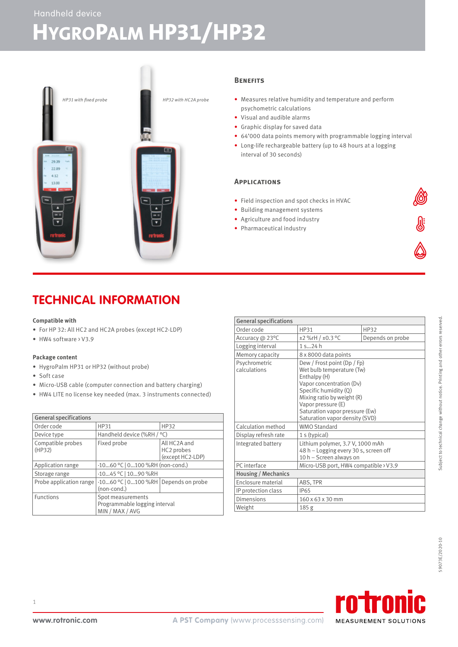# **HYGROPALM HP31/HP32**



# **Benefits**

- Measures relative humidity and temperature and perform psychometric calculations
- Visual and audible alarms
- Graphic display for saved data
- 64'000 data points memory with programmable logging interval
- Long-life rechargeable battery (up to 48 hours at a logging interval of 30 seconds)

# **Applications**

- Field inspection and spot checks in HVAC
- Building management systems
- Agriculture and food industry
- Pharmaceutical industry

# **TECHNICAL INFORMATION**

## **Compatible with**

- For HP 32: All HC2 and HC2A probes (except HC2-LDP)
- HW4 software > V3.9

#### **Package content**

- HygroPalm HP31 or HP32 (without probe)
- Soft case
- Micro-USB cable (computer connection and battery charging)
- HW4 LITE no license key needed (max. 3 instruments connected)

| <b>General specifications</b> |                                                                       |                                                |
|-------------------------------|-----------------------------------------------------------------------|------------------------------------------------|
| Order code                    | HP31                                                                  | <b>HP32</b>                                    |
| Device type                   | Handheld device (%RH / °C)                                            |                                                |
| Compatible probes<br>(HP32)   | Fixed probe                                                           | All HC2A and<br>HC2 probes<br>(except HC2-LDP) |
| Application range             | -1060 °C   0100 %RH (non-cond.)                                       |                                                |
| Storage range                 | -1045 °C   1090 %RH                                                   |                                                |
| Probe application range       | -1060 °C   0100 %RH   Depends on probe<br>(non-cond.)                 |                                                |
| <b>Functions</b>              | Spot measurements<br>Programmable logging interval<br>MIN / MAX / AVG |                                                |

| <b>General specifications</b> |                                                                                                                                                                                                                                                       |                  |  |
|-------------------------------|-------------------------------------------------------------------------------------------------------------------------------------------------------------------------------------------------------------------------------------------------------|------------------|--|
| Order code                    | HP31                                                                                                                                                                                                                                                  | HP32             |  |
| Accuracy @ 23°C               | ±2 %rH / ±0.3 °C                                                                                                                                                                                                                                      | Depends on probe |  |
| Logging interval              | 1524h                                                                                                                                                                                                                                                 |                  |  |
| Memory capacity               | 8 x 8000 data points                                                                                                                                                                                                                                  |                  |  |
| Psychrometric<br>calculations | Dew / Frost point (Dp / Fp)<br>Wet bulb temperature (Tw)<br>Enthalpy (H)<br>Vapor concentration (Dv)<br>Specific humidity (Q)<br>Mixing ratio by weight (R)<br>Vapor pressure (E)<br>Saturation vapor pressure (Ew)<br>Saturation vapor density (SVD) |                  |  |
| Calculation method            | <b>WMO Standard</b>                                                                                                                                                                                                                                   |                  |  |
| Display refresh rate          | 1 s (typical)                                                                                                                                                                                                                                         |                  |  |
| Integrated battery            | Lithium polymer, 3.7 V, 1000 mAh<br>48 h - Logging every 30 s, screen off<br>10 h - Screen always on                                                                                                                                                  |                  |  |
| PC interface                  | Micro-USB port, HW4 compatible > V3.9                                                                                                                                                                                                                 |                  |  |
| Housing / Mechanics           |                                                                                                                                                                                                                                                       |                  |  |
| Enclosure material            | ABS, TPR                                                                                                                                                                                                                                              |                  |  |
| IP protection class           | <b>IP65</b>                                                                                                                                                                                                                                           |                  |  |
| Dimensions                    | 160 x 63 x 30 mm                                                                                                                                                                                                                                      |                  |  |
| Weight                        | 185 g                                                                                                                                                                                                                                                 |                  |  |

59073E/2020-10



1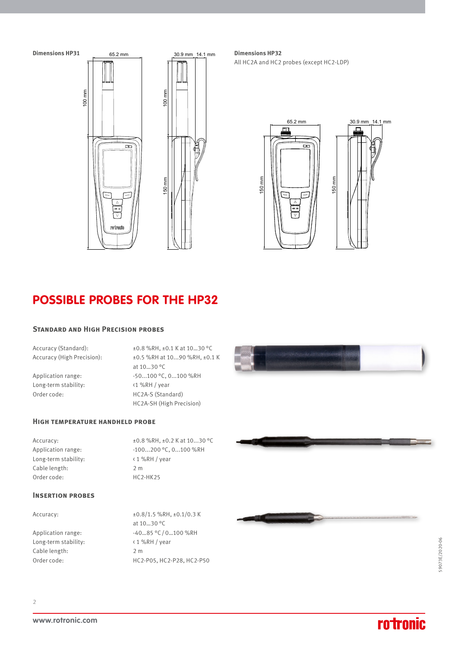

All HC2A and HC2 probes (except HC2-LDP)



# **POSSIBLE PROBES FOR THE HP32**

## **Standard and High Precision probes**

Long-term stability: <1 %RH / year

Accuracy (Standard):  $\pm 0.8$  %RH,  $\pm 0.1$  K at 10...30 °C Accuracy (High Precision): ±0.5 %RH at 10...90 %RH, ±0.1 K at 10…30 °C Application range:  $-50...100 °C$ , 0...100 %RH Order code: HC2A-S (Standard) HC2A-SH (High Precision)

## **High temperature handheld probe**

Long-term stability:  $\langle 1 \text{ %RH } / \text{ year} \rangle$ Cable length: 2 m Order code: HC2-HK25

Accuracy:  $\pm 0.8 \%$ RH,  $\pm 0.2$  K at 10...30 °C Application range:  $-100...200$  °C, 0...100 %RH

# **Insertion probes**

Long-term stability: < 1 %RH / year Cable length: 2 m

Accuracy:  $\pm 0.8/1.5$  %RH,  $\pm 0.1/0.3$  K at 10…30 °C Application range:  $-40...85 °C/0...100 %RH$ Order code: HC2-P05, HC2-P28, HC2-P50